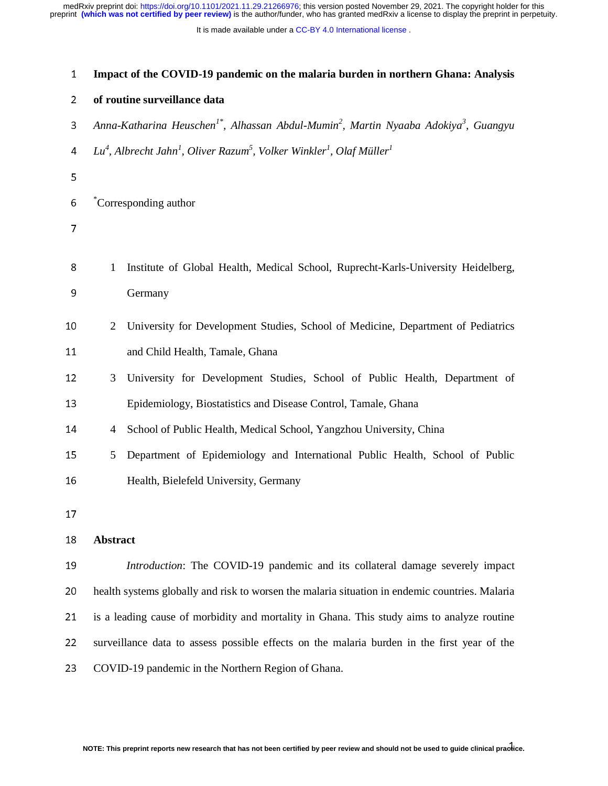It is made available under a CC-BY 4.0 International license.

| 1              | Impact of the COVID-19 pandemic on the malaria burden in northern Ghana: Analysis                                        |  |
|----------------|--------------------------------------------------------------------------------------------------------------------------|--|
| $\overline{2}$ | of routine surveillance data                                                                                             |  |
| 3              | Anna-Katharina Heuschen <sup>1*</sup> , Alhassan Abdul-Mumin <sup>2</sup> , Martin Nyaaba Adokiya <sup>3</sup> , Guangyu |  |
| 4              | $Lu^4$ , Albrecht Jahn <sup>1</sup> , Oliver Razum <sup>5</sup> , Volker Winkler <sup>1</sup> , Olaf Müller <sup>1</sup> |  |
| 5              |                                                                                                                          |  |
| 6              | Corresponding author                                                                                                     |  |
| 7              |                                                                                                                          |  |
| 8<br>9         | Institute of Global Health, Medical School, Ruprecht-Karls-University Heidelberg,<br>1<br>Germany                        |  |
| 10             | University for Development Studies, School of Medicine, Department of Pediatrics<br>2                                    |  |
| 11             | and Child Health, Tamale, Ghana                                                                                          |  |
| 12             | University for Development Studies, School of Public Health, Department of<br>3                                          |  |
| 13             | Epidemiology, Biostatistics and Disease Control, Tamale, Ghana                                                           |  |
| 14             | School of Public Health, Medical School, Yangzhou University, China<br>4                                                 |  |
| 15             | Department of Epidemiology and International Public Health, School of Public<br>5                                        |  |
| 16             | Health, Bielefeld University, Germany                                                                                    |  |
| 17             |                                                                                                                          |  |
| 18             | <b>Abstract</b>                                                                                                          |  |
| 19             | Introduction: The COVID-19 pandemic and its collateral damage severely impact                                            |  |
| 20             | health systems globally and risk to worsen the malaria situation in endemic countries. Malaria                           |  |
| 21             | is a leading cause of morbidity and mortality in Ghana. This study aims to analyze routine                               |  |
| 22             | surveillance data to assess possible effects on the malaria burden in the first year of the                              |  |
| 23             | COVID-19 pandemic in the Northern Region of Ghana.                                                                       |  |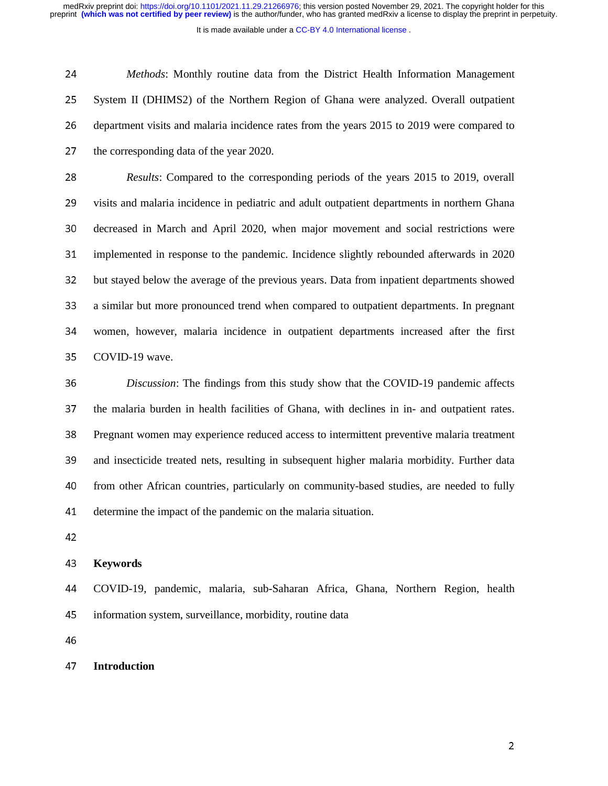It is made available under a CC-BY 4.0 International license.

<sup>24</sup>*Methods*: Monthly routine data from the District Health Information Management 25 System II (DHIMS2) of the Northern Region of Ghana were analyzed. Overall outpatient 26 department visits and malaria incidence rates from the years 2015 to 2019 were compared to 27 the corresponding data of the year 2020.

<sup>28</sup>*Results*: Compared to the corresponding periods of the years 2015 to 2019, overall 29 visits and malaria incidence in pediatric and adult outpatient departments in northern Ghana 30 decreased in March and April 2020, when major movement and social restrictions were <sup>31</sup>implemented in response to the pandemic. Incidence slightly rebounded afterwards in 2020 32 but stayed below the average of the previous years. Data from inpatient departments showed 33 a similar but more pronounced trend when compared to outpatient departments. In pregnant 34 women, however, malaria incidence in outpatient departments increased after the first 35 COVID-19 wave.

<sup>36</sup>*Discussion*: The findings from this study show that the COVID-19 pandemic affects 37 the malaria burden in health facilities of Ghana, with declines in in- and outpatient rates. <sup>38</sup>Pregnant women may experience reduced access to intermittent preventive malaria treatment 39 and insecticide treated nets, resulting in subsequent higher malaria morbidity. Further data 40 from other African countries, particularly on community-based studies, are needed to fully 41 determine the impact of the pandemic on the malaria situation.

 $\overline{1}$ 

### <sup>43</sup>**Keywords**

<sup>44</sup>COVID-19, pandemic, malaria, sub-Saharan Africa, Ghana, Northern Region, health 45 information system, surveillance, morbidity, routine data

46

## <sup>47</sup>**Introduction**

<u>2002: A contract of the contract of the contract of the contract of the contract of the contract of the contract of the contract of the contract of the contract of the contract of the contract of the contract of the contr</u>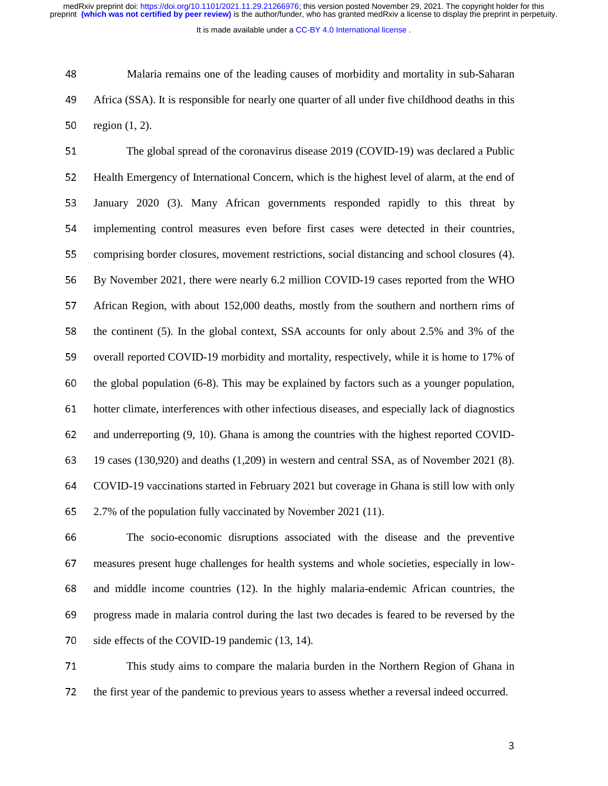It is made available under a CC-BY 4.0 International license.

<sup>48</sup>Malaria remains one of the leading causes of morbidity and mortality in sub-Saharan <sup>49</sup>Africa (SSA). It is responsible for nearly one quarter of all under five childhood deaths in this 50 region  $(1, 2)$ .

51 The global spread of the coronavirus disease 2019 (COVID-19) was declared a Public 52 Health Emergency of International Concern, which is the highest level of alarm, at the end of 53 January 2020 (3). Many African governments responded rapidly to this threat by 54 implementing control measures even before first cases were detected in their countries, 55 comprising border closures, movement restrictions, social distancing and school closures (4). 56 By November 2021, there were nearly 6.2 million COVID-19 cases reported from the WHO 57 African Region, with about 152,000 deaths, mostly from the southern and northern rims of 58 the continent (5). In the global context, SSA accounts for only about 2.5% and 3% of the 59 overall reported COVID-19 morbidity and mortality, respectively, while it is home to 17% of 60 the global population  $(6-8)$ . This may be explained by factors such as a younger population, 61 hotter climate, interferences with other infectious diseases, and especially lack of diagnostics 62 and underreporting (9, 10). Ghana is among the countries with the highest reported COVID-<sup>63</sup>19 cases (130,920) and deaths (1,209) in western and central SSA, as of November 2021 (8). <sup>64</sup>COVID-19 vaccinations started in February 2021 but coverage in Ghana is still low with only <sup>65</sup>2.7% of the population fully vaccinated by November 2021 (11).

66 The socio-economic disruptions associated with the disease and the preventive 67 measures present huge challenges for health systems and whole societies, especially in low-68 and middle income countries (12). In the highly malaria-endemic African countries, the 69 progress made in malaria control during the last two decades is feared to be reversed by the 70 side effects of the COVID-19 pandemic (13, 14).

71 This study aims to compare the malaria burden in the Northern Region of Ghana in 72 the first year of the pandemic to previous years to assess whether a reversal indeed occurred.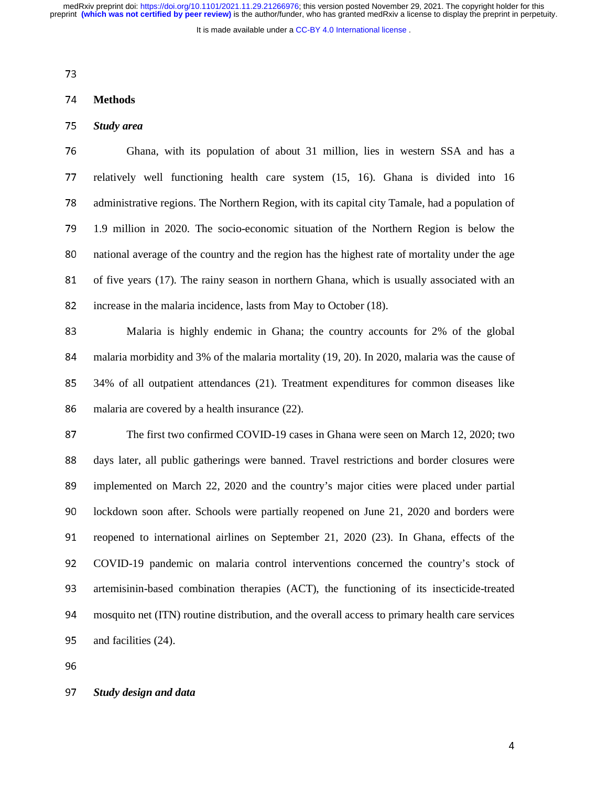It is made available under a CC-BY 4.0 International license.

 $\overline{a}$ 

### <sup>74</sup>**Methods**

## <sup>75</sup>*Study area*

<sup>76</sup>Ghana, with its population of about 31 million, lies in western SSA and has a 77 relatively well functioning health care system (15, 16). Ghana is divided into 16 78 administrative regions. The Northern Region, with its capital city Tamale, had a population of 79 1.9 million in 2020. The socio-economic situation of the Northern Region is below the 80 national average of the country and the region has the highest rate of mortality under the age 81 of five years (17). The rainy season in northern Ghana, which is usually associated with an 82 increase in the malaria incidence, lasts from May to October (18).

83 Malaria is highly endemic in Ghana; the country accounts for 2% of the global 84 malaria morbidity and 3% of the malaria mortality (19, 20). In 2020, malaria was the cause of <sup>85</sup>34% of all outpatient attendances (21). Treatment expenditures for common diseases like 86 malaria are covered by a health insurance (22).

87 The first two confirmed COVID-19 cases in Ghana were seen on March 12, 2020; two 88 days later, all public gatherings were banned. Travel restrictions and border closures were 89 implemented on March 22, 2020 and the country's major cities were placed under partial 90 lockdown soon after. Schools were partially reopened on June 21, 2020 and borders were 91 reopened to international airlines on September 21, 2020 (23). In Ghana, effects of the <sup>92</sup>COVID-19 pandemic on malaria control interventions concerned the country's stock of 93 artemisinin-based combination therapies (ACT), the functioning of its insecticide-treated 94 mosquito net (ITN) routine distribution, and the overall access to primary health care services 95 and facilities (24).

96

#### <sup>97</sup>*Study design and data*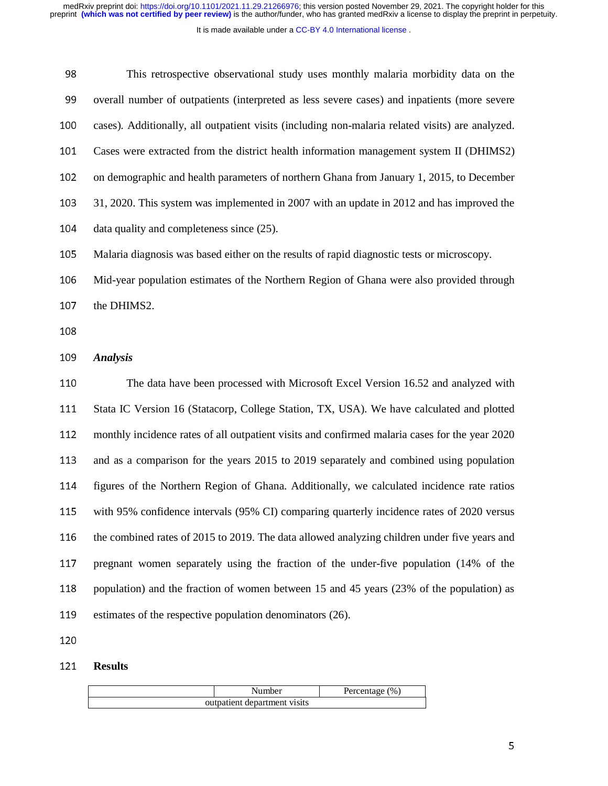It is made available under a CC-BY 4.0 International license.

| 98         | This retrospective observational study uses monthly malaria morbidity data on the                |
|------------|--------------------------------------------------------------------------------------------------|
| 99         | overall number of outpatients (interpreted as less severe cases) and inpatients (more severe     |
| 100        | cases). Additionally, all outpatient visits (including non-malaria related visits) are analyzed. |
| 101        | Cases were extracted from the district health information management system II (DHIMS2)          |
| 102        | on demographic and health parameters of northern Ghana from January 1, 2015, to December         |
| 103        | 31, 2020. This system was implemented in 2007 with an update in 2012 and has improved the        |
| 104        | data quality and completeness since (25).                                                        |
| 105        | Malaria diagnosis was based either on the results of rapid diagnostic tests or microscopy.       |
| 106        | Mid-year population estimates of the Northern Region of Ghana were also provided through         |
| 107        | the DHIMS2.                                                                                      |
| 108        |                                                                                                  |
|            | <b>Analysis</b>                                                                                  |
|            |                                                                                                  |
| 109<br>110 | The data have been processed with Microsoft Excel Version 16.52 and analyzed with                |
| 111        | Stata IC Version 16 (Statacorp, College Station, TX, USA). We have calculated and plotted        |
| 112        | monthly incidence rates of all outpatient visits and confirmed malaria cases for the year 2020   |
| 113        | and as a comparison for the years 2015 to 2019 separately and combined using population          |
| 114        | figures of the Northern Region of Ghana. Additionally, we calculated incidence rate ratios       |
| 115        | with 95% confidence intervals (95% CI) comparing quarterly incidence rates of 2020 versus        |
| 116        | the combined rates of 2015 to 2019. The data allowed analyzing children under five years and     |
| 117        | pregnant women separately using the fraction of the under-five population (14% of the            |
| 118        | population) and the fraction of women between 15 and 45 years (23% of the population) as         |
| 119        | estimates of the respective population denominators (26).                                        |

# **Results**

| Number                       | Percentage $(\% )$ |
|------------------------------|--------------------|
| outpatient department visits |                    |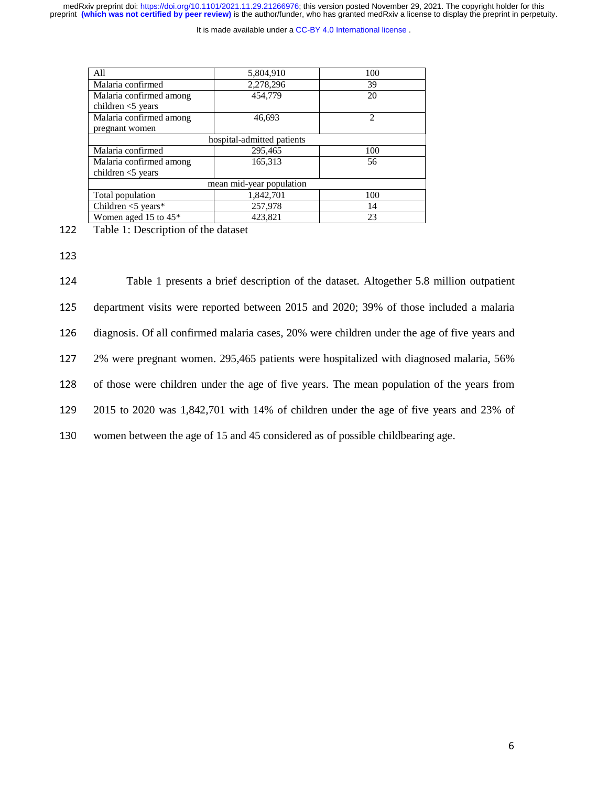It is made available under a CC-BY 4.0 International license.

| All                     | 5,804,910                  | 100            |
|-------------------------|----------------------------|----------------|
| Malaria confirmed       | 2,278,296                  | 39             |
| Malaria confirmed among | 454,779                    | 20             |
| children $<$ 5 years    |                            |                |
| Malaria confirmed among | 46,693                     | $\mathfrak{D}$ |
| pregnant women          |                            |                |
|                         | hospital-admitted patients |                |
| Malaria confirmed       | 295,465                    | 100            |
| Malaria confirmed among | 165,313                    | 56             |
| children $<$ 5 years    |                            |                |
|                         | mean mid-year population   |                |
| Total population        | 1,842,701                  | 100            |
| Children $<$ 5 years*   | 257,978                    | 14             |
| Women aged 15 to 45*    | 423.821                    | 23             |

122 Table 1: Description of the dataset

123

124 Table 1 presents a brief description of the dataset. Altogether 5.8 million outpatient 125 department visits were reported between 2015 and 2020; 39% of those included a malaria 126 diagnosis. Of all confirmed malaria cases, 20% were children under the age of five years and <sup>127</sup>2% were pregnant women. 295,465 patients were hospitalized with diagnosed malaria, 56% 128 of those were children under the age of five years. The mean population of the years from <sup>129</sup>2015 to 2020 was 1,842,701 with 14% of children under the age of five years and 23% of 130 women between the age of 15 and 45 considered as of possible childbearing age.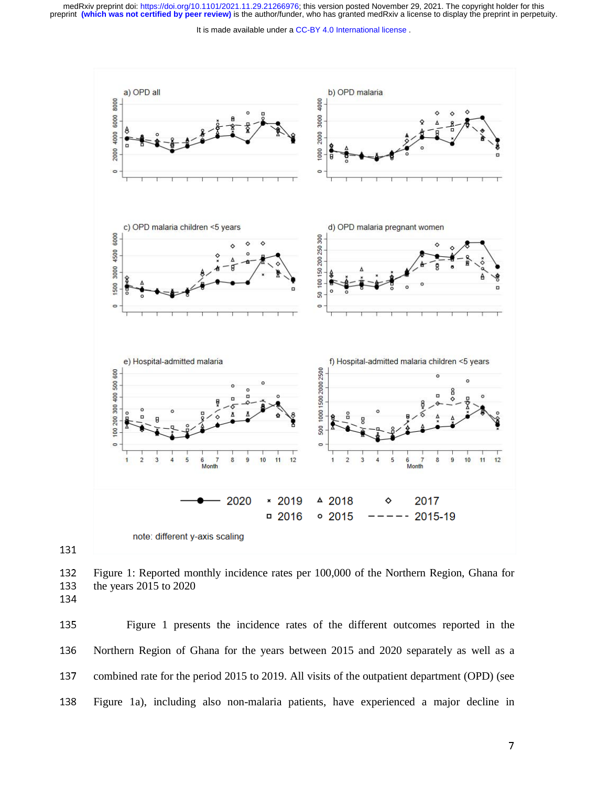It is made available under a CC-BY 4.0 International license.



132 Figure 1: Reported monthly incidence rates per 100,000 of the Northern Region, Ghana for the vears 2015 to 2020 the years 2015 to 2020

134

131

<sup>135</sup>Figure 1 presents the incidence rates of the different outcomes reported in the 136 Northern Region of Ghana for the years between 2015 and 2020 separately as well as a 137 combined rate for the period 2015 to 2019. All visits of the outpatient department (OPD) (see <sup>138</sup>Figure 1a), including also non-malaria patients, have experienced a major decline in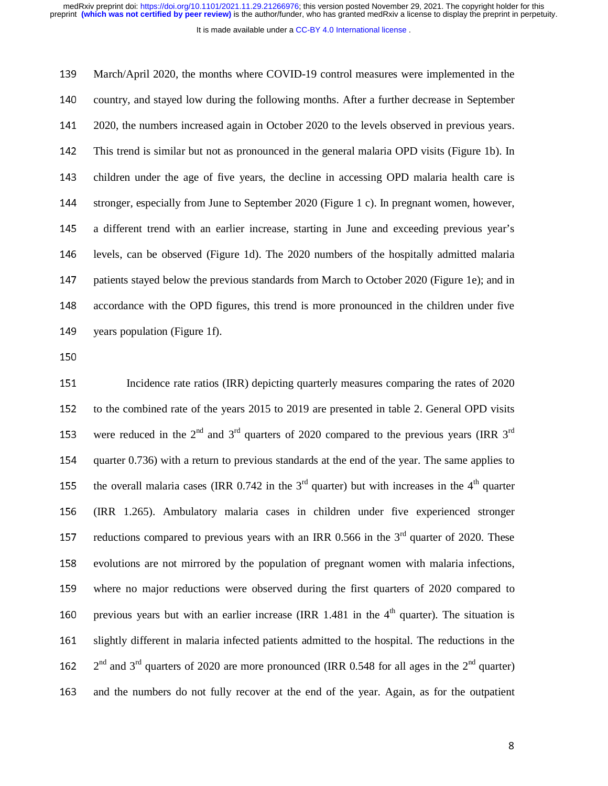It is made available under a CC-BY 4.0 International license.

139 March/April 2020, the months where COVID-19 control measures were implemented in the 140 country, and stayed low during the following months. After a further decrease in September 141 2020, the numbers increased again in October 2020 to the levels observed in previous years. <sup>142</sup>This trend is similar but not as pronounced in the general malaria OPD visits (Figure 1b). In 143 children under the age of five years, the decline in accessing OPD malaria health care is 144 stronger, especially from June to September 2020 (Figure 1 c). In pregnant women, however, 145 a different trend with an earlier increase, starting in June and exceeding previous year's 146 levels, can be observed (Figure 1d). The 2020 numbers of the hospitally admitted malaria 147 patients stayed below the previous standards from March to October 2020 (Figure 1e); and in 148 accordance with the OPD figures, this trend is more pronounced in the children under five 149 years population (Figure 1f).

150

151 Incidence rate ratios (IRR) depicting quarterly measures comparing the rates of 2020 152 to the combined rate of the years 2015 to 2019 are presented in table 2. General OPD visits 153 were reduced in the  $2<sup>nd</sup>$  and  $3<sup>rd</sup>$  quarters of 2020 compared to the previous years (IRR  $3<sup>rd</sup>$ 154 quarter 0.736) with a return to previous standards at the end of the year. The same applies to 155 the overall malaria cases (IRR  $0.742$  in the 3<sup>rd</sup> quarter) but with increases in the 4<sup>th</sup> quarter <sup>156</sup>(IRR 1.265). Ambulatory malaria cases in children under five experienced stronger 157 reductions compared to previous years with an IRR 0.566 in the  $3<sup>rd</sup>$  quarter of 2020. These 158 evolutions are not mirrored by the population of pregnant women with malaria infections, 159 where no major reductions were observed during the first quarters of 2020 compared to 160 previous years but with an earlier increase (IRR 1.481 in the  $4<sup>th</sup>$  quarter). The situation is <sup>161</sup>slightly different in malaria infected patients admitted to the hospital. The reductions in the 162  $2<sup>nd</sup>$  and 3<sup>rd</sup> quarters of 2020 are more pronounced (IRR 0.548 for all ages in the 2<sup>nd</sup> quarter) 163 and the numbers do not fully recover at the end of the year. Again, as for the outpatient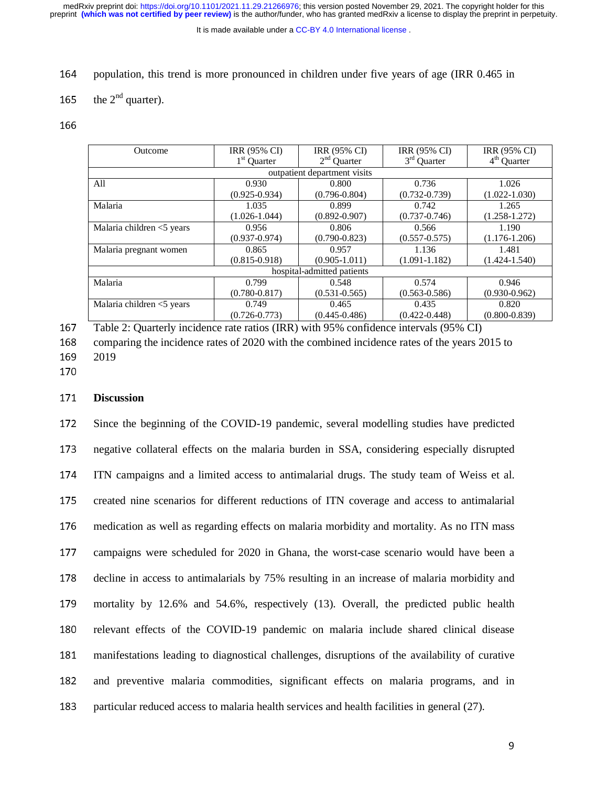It is made available under a CC-BY 4.0 International license.

- 164 population, this trend is more pronounced in children under five years of age (IRR 0.465 in
- 165 the  $2<sup>nd</sup>$  quarter).

166

| Outcome                   | <b>IRR (95% CI)</b> | <b>IRR (95% CI)</b>          | IRR (95% CI)            | IRR (95% CI)      |
|---------------------------|---------------------|------------------------------|-------------------------|-------------------|
|                           | $1st$ Quarter       | $2nd$ Quarter                | 3 <sup>rd</sup> Quarter | $4th$ Quarter     |
|                           |                     | outpatient department visits |                         |                   |
| All                       | 0.930               | 0.800                        | 0.736                   | 1.026             |
|                           | $(0.925 - 0.934)$   | $(0.796 - 0.804)$            | $(0.732 - 0.739)$       | $(1.022 - 1.030)$ |
| Malaria                   | 1.035               | 0.899                        | 0.742                   | 1.265             |
|                           | $(1.026 - 1.044)$   | $(0.892 - 0.907)$            | $(0.737 - 0.746)$       | $(1.258 - 1.272)$ |
| Malaria children <5 years | 0.956               | 0.806                        | 0.566                   | 1.190             |
|                           | $(0.937 - 0.974)$   | $(0.790 - 0.823)$            | $(0.557 - 0.575)$       | $(1.176 - 1.206)$ |
| Malaria pregnant women    | 0.865               | 0.957                        | 1.136                   | 1.481             |
|                           | $(0.815 - 0.918)$   | $(0.905 - 1.011)$            | $(1.091 - 1.182)$       | $(1.424 - 1.540)$ |
|                           |                     | hospital-admitted patients   |                         |                   |
| Malaria                   | 0.799               | 0.548                        | 0.574                   | 0.946             |
|                           | $(0.780 - 0.817)$   | $(0.531 - 0.565)$            | $(0.563 - 0.586)$       | $(0.930 - 0.962)$ |
| Malaria children <5 years | 0.749               | 0.465                        | 0.435                   | 0.820             |
|                           | $(0.726 - 0.773)$   | $(0.445 - 0.486)$            | $(0.422 - 0.448)$       | $(0.800 - 0.839)$ |

167 Table 2: Quarterly incidence rate ratios (IRR) with 95% confidence intervals (95% CI)<br>168 comparing the incidence rates of 2020 with the combined incidence rates of the years 2

168 comparing the incidence rates of 2020 with the combined incidence rates of the years 2015 to 2019 2019

170

## <sup>171</sup>**Discussion**

172 Since the beginning of the COVID-19 pandemic, several modelling studies have predicted 173 negative collateral effects on the malaria burden in SSA, considering especially disrupted 174 ITN campaigns and a limited access to antimalarial drugs. The study team of Weiss et al. 175 created nine scenarios for different reductions of ITN coverage and access to antimalarial 176 medication as well as regarding effects on malaria morbidity and mortality. As no ITN mass 177 campaigns were scheduled for 2020 in Ghana, the worst-case scenario would have been a 178 decline in access to antimalarials by 75% resulting in an increase of malaria morbidity and 179 mortality by 12.6% and 54.6%, respectively (13). Overall, the predicted public health 180 relevant effects of the COVID-19 pandemic on malaria include shared clinical disease 181 manifestations leading to diagnostical challenges, disruptions of the availability of curative 182 and preventive malaria commodities, significant effects on malaria programs, and in 183 particular reduced access to malaria health services and health facilities in general (27).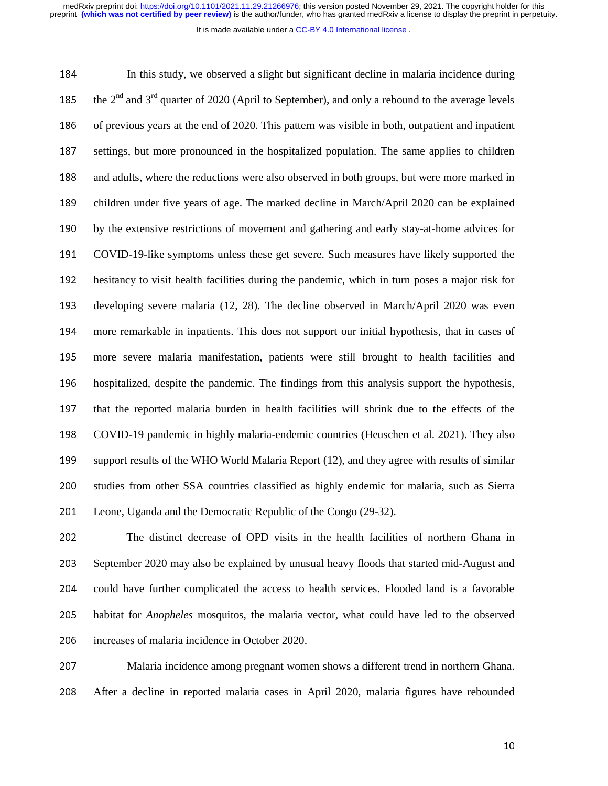It is made available under a CC-BY 4.0 International license.

184 In this study, we observed a slight but significant decline in malaria incidence during 185 the  $2<sup>nd</sup>$  and  $3<sup>rd</sup>$  quarter of 2020 (April to September), and only a rebound to the average levels 186 of previous years at the end of 2020. This pattern was visible in both, outpatient and inpatient 187 settings, but more pronounced in the hospitalized population. The same applies to children 188 and adults, where the reductions were also observed in both groups, but were more marked in 189 children under five years of age. The marked decline in March/April 2020 can be explained 190 by the extensive restrictions of movement and gathering and early stay-at-home advices for <sup>191</sup>COVID-19-like symptoms unless these get severe. Such measures have likely supported the 192 hesitancy to visit health facilities during the pandemic, which in turn poses a major risk for 193 developing severe malaria (12, 28). The decline observed in March/April 2020 was even 194 more remarkable in inpatients. This does not support our initial hypothesis, that in cases of 195 more severe malaria manifestation, patients were still brought to health facilities and 196 hospitalized, despite the pandemic. The findings from this analysis support the hypothesis, 197 that the reported malaria burden in health facilities will shrink due to the effects of the <sup>198</sup>COVID-19 pandemic in highly malaria-endemic countries (Heuschen et al. 2021). They also 199 support results of the WHO World Malaria Report (12), and they agree with results of similar 200 studies from other SSA countries classified as highly endemic for malaria, such as Sierra 201 Leone, Uganda and the Democratic Republic of the Congo (29-32).

202 The distinct decrease of OPD visits in the health facilities of northern Ghana in 203 September 2020 may also be explained by unusual heavy floods that started mid-August and 204 could have further complicated the access to health services. Flooded land is a favorable 205 habitat for *Anopheles* mosquitos, the malaria vector, what could have led to the observed 206 increases of malaria incidence in October 2020.

<sup>207</sup>Malaria incidence among pregnant women shows a different trend in northern Ghana. <sup>208</sup>After a decline in reported malaria cases in April 2020, malaria figures have rebounded

 $10<sub>10</sub>$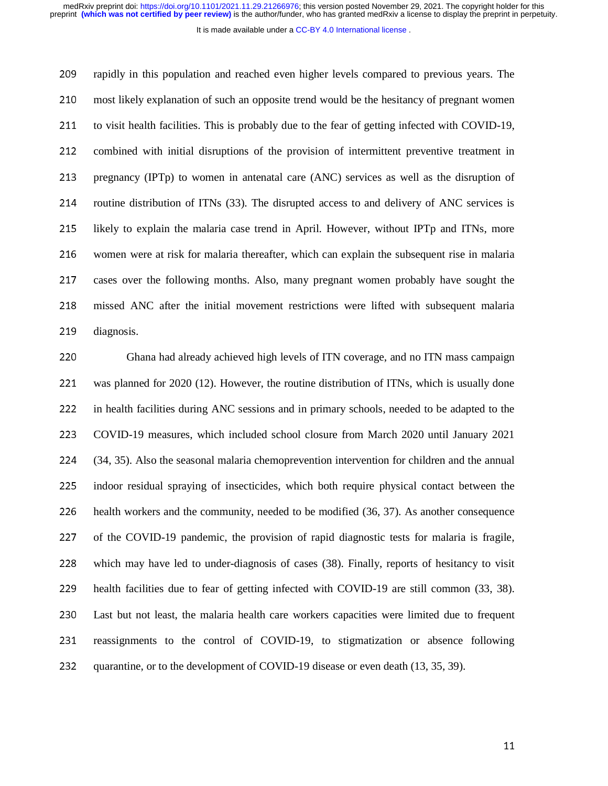It is made available under a CC-BY 4.0 International license.

209 rapidly in this population and reached even higher levels compared to previous years. The 210 most likely explanation of such an opposite trend would be the hesitancy of pregnant women 211 to visit health facilities. This is probably due to the fear of getting infected with COVID-19, 212 combined with initial disruptions of the provision of intermittent preventive treatment in 213 pregnancy (IPTp) to women in antenatal care (ANC) services as well as the disruption of 214 routine distribution of ITNs (33). The disrupted access to and delivery of ANC services is 215 likely to explain the malaria case trend in April. However, without IPTp and ITNs, more 216 women were at risk for malaria thereafter, which can explain the subsequent rise in malaria 217 cases over the following months. Also, many pregnant women probably have sought the 218 missed ANC after the initial movement restrictions were lifted with subsequent malaria 219 diagnosis.

220 Ghana had already achieved high levels of ITN coverage, and no ITN mass campaign 221 was planned for 2020 (12). However, the routine distribution of ITNs, which is usually done 222 in health facilities during ANC sessions and in primary schools, needed to be adapted to the <sup>223</sup>COVID-19 measures, which included school closure from March 2020 until January 2021 <sup>224</sup>(34, 35). Also the seasonal malaria chemoprevention intervention for children and the annual 225 indoor residual spraying of insecticides, which both require physical contact between the 226 health workers and the community, needed to be modified (36, 37). As another consequence 227 of the COVID-19 pandemic, the provision of rapid diagnostic tests for malaria is fragile, 228 which may have led to under-diagnosis of cases (38). Finally, reports of hesitancy to visit 229 health facilities due to fear of getting infected with COVID-19 are still common (33, 38). 230 Last but not least, the malaria health care workers capacities were limited due to frequent 231 reassignments to the control of COVID-19, to stigmatization or absence following 232 quarantine, or to the development of COVID-19 disease or even death (13, 35, 39).

the contract of the contract of the contract of the contract of the contract of the contract of the contract o<br>The contract of the contract of the contract of the contract of the contract of the contract of the contract o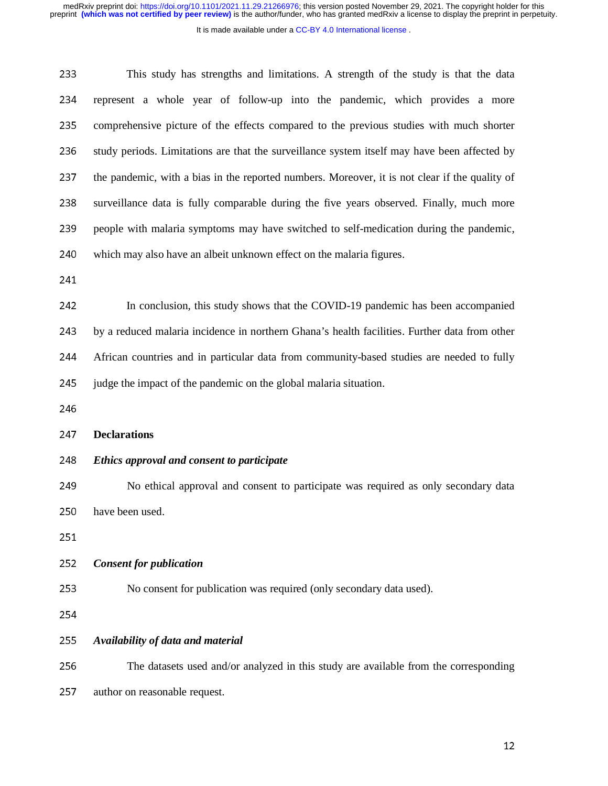It is made available under a CC-BY 4.0 International license.

| 233 | This study has strengths and limitations. A strength of the study is that the data             |
|-----|------------------------------------------------------------------------------------------------|
| 234 | represent a whole year of follow-up into the pandemic, which provides a more                   |
| 235 | comprehensive picture of the effects compared to the previous studies with much shorter        |
| 236 | study periods. Limitations are that the surveillance system itself may have been affected by   |
| 237 | the pandemic, with a bias in the reported numbers. Moreover, it is not clear if the quality of |
| 238 | surveillance data is fully comparable during the five years observed. Finally, much more       |
| 239 | people with malaria symptoms may have switched to self-medication during the pandemic,         |
| 240 | which may also have an albeit unknown effect on the malaria figures.                           |
| 241 |                                                                                                |
| 242 | In conclusion, this study shows that the COVID-19 pandemic has been accompanied                |
| 243 | by a reduced malaria incidence in northern Ghana's health facilities. Further data from other  |
| 244 | African countries and in particular data from community-based studies are needed to fully      |
| 245 | judge the impact of the pandemic on the global malaria situation.                              |
| 246 |                                                                                                |
| 247 | <b>Declarations</b>                                                                            |
| 248 | Ethics approval and consent to participate                                                     |
| 249 | No ethical approval and consent to participate was required as only secondary data             |
| 250 | have been used.                                                                                |
| 251 |                                                                                                |
| 252 | <b>Consent for publication</b>                                                                 |
| 253 | No consent for publication was required (only secondary data used).                            |
| 254 |                                                                                                |
| 255 | Availability of data and material                                                              |
| 256 | The datasets used and/or analyzed in this study are available from the corresponding           |
|     |                                                                                                |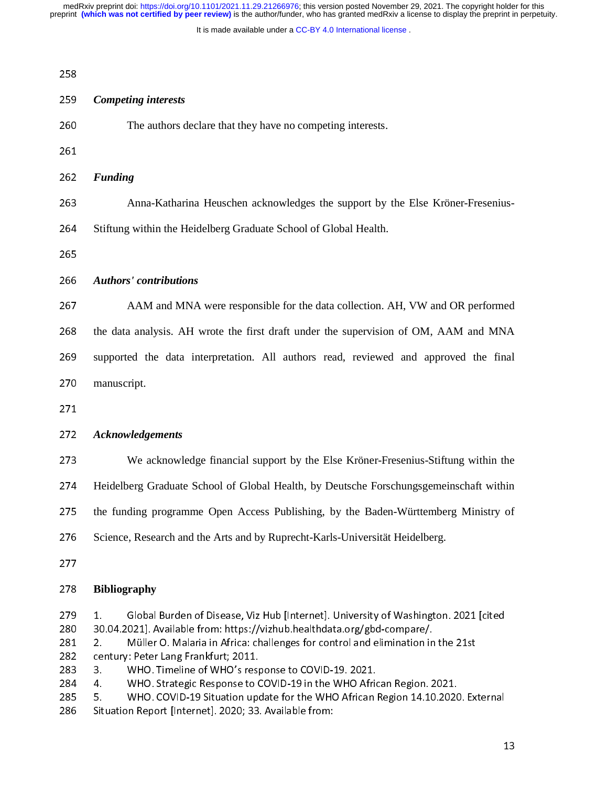It is made available under a CC-BY 4.0 International license.

| 258<br>259<br>260<br>261<br>262<br>263 | <b>Competing interests</b><br>The authors declare that they have no competing interests.<br><b>Funding</b><br>Anna-Katharina Heuschen acknowledges the support by the Else Kröner-Fresenius-<br>Stiftung within the Heidelberg Graduate School of Global Health.                                                                                                                                                                                 |
|----------------------------------------|--------------------------------------------------------------------------------------------------------------------------------------------------------------------------------------------------------------------------------------------------------------------------------------------------------------------------------------------------------------------------------------------------------------------------------------------------|
|                                        |                                                                                                                                                                                                                                                                                                                                                                                                                                                  |
|                                        |                                                                                                                                                                                                                                                                                                                                                                                                                                                  |
|                                        |                                                                                                                                                                                                                                                                                                                                                                                                                                                  |
|                                        |                                                                                                                                                                                                                                                                                                                                                                                                                                                  |
|                                        |                                                                                                                                                                                                                                                                                                                                                                                                                                                  |
|                                        |                                                                                                                                                                                                                                                                                                                                                                                                                                                  |
| 264                                    |                                                                                                                                                                                                                                                                                                                                                                                                                                                  |
| 265                                    |                                                                                                                                                                                                                                                                                                                                                                                                                                                  |
| 266                                    | <b>Authors' contributions</b>                                                                                                                                                                                                                                                                                                                                                                                                                    |
| 267                                    | AAM and MNA were responsible for the data collection. AH, VW and OR performed                                                                                                                                                                                                                                                                                                                                                                    |
| 268                                    | the data analysis. AH wrote the first draft under the supervision of OM, AAM and MNA                                                                                                                                                                                                                                                                                                                                                             |
| 269                                    | supported the data interpretation. All authors read, reviewed and approved the final                                                                                                                                                                                                                                                                                                                                                             |
| 270                                    | manuscript.                                                                                                                                                                                                                                                                                                                                                                                                                                      |
| 271                                    |                                                                                                                                                                                                                                                                                                                                                                                                                                                  |
| 272                                    | <b>Acknowledgements</b>                                                                                                                                                                                                                                                                                                                                                                                                                          |
| 273                                    | We acknowledge financial support by the Else Kröner-Fresenius-Stiftung within the                                                                                                                                                                                                                                                                                                                                                                |
| 274                                    | Heidelberg Graduate School of Global Health, by Deutsche Forschungsgemeinschaft within                                                                                                                                                                                                                                                                                                                                                           |
| 275                                    | the funding programme Open Access Publishing, by the Baden-Württemberg Ministry of                                                                                                                                                                                                                                                                                                                                                               |
| 276                                    | Science, Research and the Arts and by Ruprecht-Karls-Universität Heidelberg.                                                                                                                                                                                                                                                                                                                                                                     |
| 277                                    |                                                                                                                                                                                                                                                                                                                                                                                                                                                  |
| 278                                    | <b>Bibliography</b>                                                                                                                                                                                                                                                                                                                                                                                                                              |
| 279<br>280<br>281<br>282<br>283<br>284 | Global Burden of Disease, Viz Hub [Internet]. University of Washington. 2021 [cited<br>1.<br>30.04.2021]. Available from: https://vizhub.healthdata.org/gbd-compare/.<br>Müller O. Malaria in Africa: challenges for control and elimination in the 21st<br>2.<br>century: Peter Lang Frankfurt; 2011.<br>WHO. Timeline of WHO's response to COVID-19. 2021.<br>3.<br>WHO. Strategic Response to COVID-19 in the WHO African Region. 2021.<br>4. |

284 4. WHO. Strategic Response to COVID-19 in the WHO African Region. 2021. 285 5. WHO. COVID-19 Situation update for the WHO African Region 14.10.2020. External

286 Situation Report [Internet]. 2020; 33. Available from: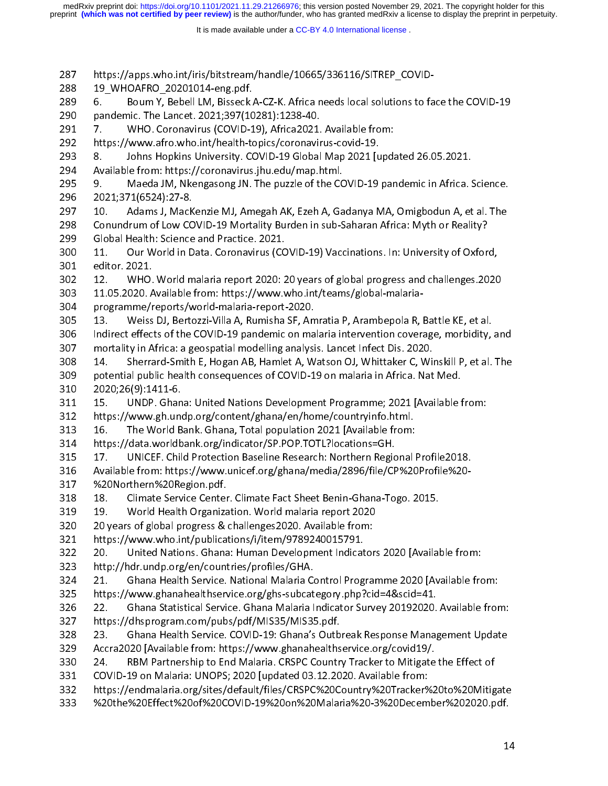preprint **(which was not certified by peer review)** is the author/funder, who has granted medRxiv a license to display the preprint in perpetuity. medRxiv preprint doi: [https://doi.org/10.1101/2021.11.29.21266976;](https://doi.org/10.1101/2021.11.29.21266976) this version posted November 29, 2021. The copyright holder for this

It is made available under a CC-BY 4.0 International license.

287 https://apps.who.int/iris/bitstream/handle/10665/336116/SITREP\_COVID-289 6. Boum Y, Bebell LM, Bisseck A-CZ-K. Africa needs local solutions to face the COVID-19 290 pandemic. The Lancet. 2021;397(10281):1238-40. 291 7. WHO. Coronavirus (COVID-19), Africa2021. Available from: 292 https://www.afro.who.int/health-topics/coronavirus-covid-19. 293 8. Johns Hopkins University. COVID-19 Global Map 2021 [updated 26.05.2021. 294 Available from: https://coronavirus.jhu.edu/map.html. 294 Available from: https://coronavirus.jhu.edu/map.html. 295 9. Maeda JM, Nkengasong JN. The puzzle of the COVID-19 pandemic in Africa. Science. 296 2021;371(6524):27-8.<br>297 10. Adams J, MacKenzie MJ, Amegah AK, Ezeh A, Gadanya MA, Omigbodun A, et al. The 297 10. Adams J, MacKenzie MJ, Amegah AK, Ezeh A, Gadanya MA, Omigbodun A, et al. The 298 Conundrum of Low COVID-19 Mortality Burden in sub-Saharan Africa: Myth or Reality? 299 Global Health: Science and Practice. 2021. 300 11. Our World in Data. Coronavirus (COVID-19) Vaccinations. In: University of Oxford, 301 editor. 2021.<br>302 12. WHO. World malaria report 2020: 20 years of global progress and challenges.2020 303 11.05.2020. Available from: https://www.who.int/teams/global-malaria-304 programme/reports/world-malaria-report-2020. 305 13. Weiss DJ, Bertozzi-Villa A, Rumisha SF, Amratia P, Arambepola R, Battle KE, et al. 306 Indirect effects of the COVID-19 pandemic on malaria intervention coverage, morbidity, and 307 mortality in Africa: a geospatial modelling analysis. Lancet Infect Dis. 2020. 308 14. Sherrard-Smith E, Hogan AB, Hamlet A, Watson OJ, Whittaker C, Winskill P, et al. The 308 14. Sherrard-Smith E, Hogan AB, Hamlet A, Watson OJ, Whittaker C, Winskill P, et al. The 309 potential public health consequences of COVID-19 on malaria in Africa. Nat Med. 310 2020;26(9):1411-6.<br>311 15. UNDP. Ghana: United Nations Development Programme; 2021 [Available from: 312 https://www.gh.undp.org/content/ghana/en/home/countryinfo.html. 313 16. The World Bank. Ghana, Total population 2021 [Available from: 314 https://data.worldbank.org/indicator/SP.POP.TOTL?locations=GH. 315 17. UNICEF. Child Protection Baseline Research: Northern Regional Profile2018. 315 17. UNICEF. Child Protection Baseline Research: Northern Regional Profile2018. 316 Available from: https://www.unicef.org/ghana/media/2896/file/CP%20Profile%20- 317 %20Northern%20Region.pdf. 319 19. World Health Organization. World malaria report 2020 320 20 years of global progress & challenges 2020. Available from: 321 https://www.who.int/publications/i/item/9789240015791. 322 20. United Nations. Ghana: Human Development Indicators 2020 [Available from: 323 http://hdr.undp.org/en/countries/profiles/GHA. 324 21. Ghana Health Service. National Malaria Control Programme 2020 [Available from: 325 https://www.ghanahealth service.org/ghs-subcategory.php?cid=4&scid=41. 326 22. Ghana Statistical Service. Ghana Malaria Indicator Survey 20192020. Available from: 327 https://dhsprogram.com/pubs/pdf/MIS35/MIS35.pdf. 328 23. Ghana Health Service. COVID-19: Ghana's Outbreak Response Management Update 329 Accra2020 [Available from: https://www.ghanahealthservice.org/covid19/. 330 24. RBM Partnership to End Malaria. CRSPC Country Tracker to Mitigate the Effect of 331 COVID-19 on Malaria: UNOPS; 2020 [updated 03.12.2020. Available from: 332 https://endmalaria.org/sites/default/files/CRSPC%20Country%20Tracker%20to%20Mitigate 332 https://endmalaria.org/sites/default/files/CRSPC%20Country%20Tracker%20to%20Mitigate 333 %20the%20Effect%20of%20COVID-19%20on%20Malaria%20-3%20December%202020.pdf.